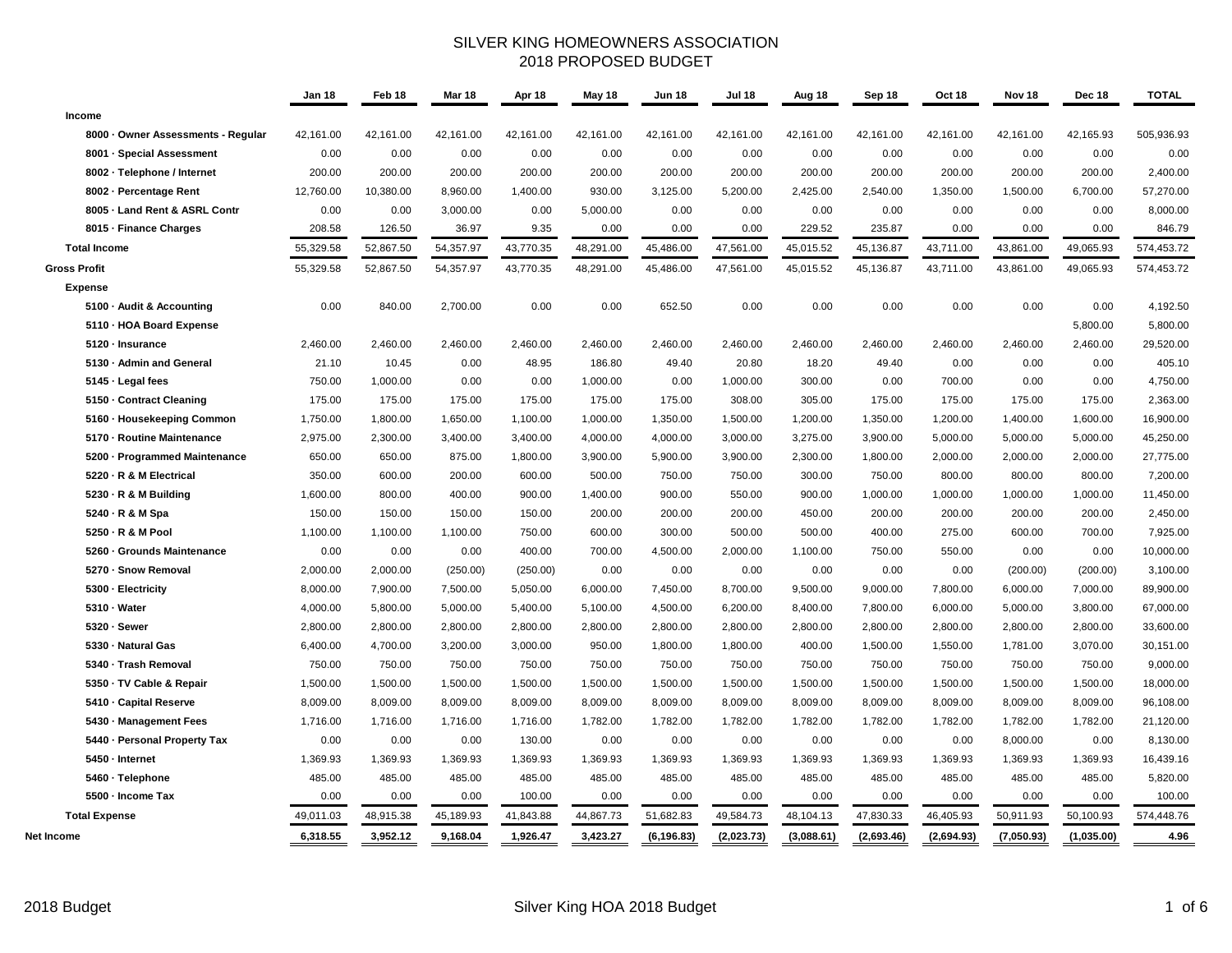## SILVER KING HOMEOWNERS ASSOCIATION 2018 PROPOSED BUDGET

|                                    | <b>Jan 18</b> | Feb 18    | Mar 18    | Apr 18    | May 18    | <b>Jun 18</b> | <b>Jul 18</b> | Aug 18     | Sep 18     | Oct 18     | Nov 18     | Dec 18     | <b>TOTAL</b> |
|------------------------------------|---------------|-----------|-----------|-----------|-----------|---------------|---------------|------------|------------|------------|------------|------------|--------------|
| Income                             |               |           |           |           |           |               |               |            |            |            |            |            |              |
| 8000 · Owner Assessments - Regular | 42,161.00     | 42,161.00 | 42,161.00 | 42,161.00 | 42,161.00 | 42,161.00     | 42,161.00     | 42,161.00  | 42,161.00  | 42,161.00  | 42,161.00  | 42,165.93  | 505,936.93   |
| 8001 - Special Assessment          | 0.00          | 0.00      | 0.00      | 0.00      | 0.00      | 0.00          | 0.00          | 0.00       | 0.00       | 0.00       | 0.00       | 0.00       | 0.00         |
| 8002 - Telephone / Internet        | 200.00        | 200.00    | 200.00    | 200.00    | 200.00    | 200.00        | 200.00        | 200.00     | 200.00     | 200.00     | 200.00     | 200.00     | 2,400.00     |
| 8002 - Percentage Rent             | 12,760.00     | 10,380.00 | 8,960.00  | 1,400.00  | 930.00    | 3,125.00      | 5,200.00      | 2,425.00   | 2,540.00   | 1,350.00   | 1,500.00   | 6,700.00   | 57,270.00    |
| 8005 - Land Rent & ASRL Contr      | 0.00          | 0.00      | 3,000.00  | 0.00      | 5,000.00  | 0.00          | 0.00          | 0.00       | 0.00       | 0.00       | 0.00       | 0.00       | 8,000.00     |
| 8015 - Finance Charges             | 208.58        | 126.50    | 36.97     | 9.35      | 0.00      | 0.00          | 0.00          | 229.52     | 235.87     | 0.00       | 0.00       | 0.00       | 846.79       |
| <b>Total Income</b>                | 55,329.58     | 52,867.50 | 54,357.97 | 43,770.35 | 48,291.00 | 45,486.00     | 47,561.00     | 45,015.52  | 45,136.87  | 43,711.00  | 43,861.00  | 49,065.93  | 574,453.72   |
| <b>Gross Profit</b>                | 55,329.58     | 52,867.50 | 54,357.97 | 43,770.35 | 48,291.00 | 45,486.00     | 47,561.00     | 45,015.52  | 45,136.87  | 43,711.00  | 43,861.00  | 49,065.93  | 574,453.72   |
| <b>Expense</b>                     |               |           |           |           |           |               |               |            |            |            |            |            |              |
| 5100 - Audit & Accounting          | 0.00          | 840.00    | 2,700.00  | 0.00      | 0.00      | 652.50        | 0.00          | 0.00       | 0.00       | 0.00       | 0.00       | 0.00       | 4,192.50     |
| 5110 - HOA Board Expense           |               |           |           |           |           |               |               |            |            |            |            | 5,800.00   | 5,800.00     |
| 5120 - Insurance                   | 2,460.00      | 2,460.00  | 2,460.00  | 2,460.00  | 2,460.00  | 2,460.00      | 2,460.00      | 2,460.00   | 2,460.00   | 2,460.00   | 2,460.00   | 2,460.00   | 29,520.00    |
| 5130 - Admin and General           | 21.10         | 10.45     | 0.00      | 48.95     | 186.80    | 49.40         | 20.80         | 18.20      | 49.40      | 0.00       | 0.00       | 0.00       | 405.10       |
| 5145 - Legal fees                  | 750.00        | 1,000.00  | 0.00      | 0.00      | 1,000.00  | 0.00          | 1,000.00      | 300.00     | 0.00       | 700.00     | 0.00       | 0.00       | 4,750.00     |
| 5150 - Contract Cleaning           | 175.00        | 175.00    | 175.00    | 175.00    | 175.00    | 175.00        | 308.00        | 305.00     | 175.00     | 175.00     | 175.00     | 175.00     | 2,363.00     |
| 5160 - Housekeeping Common         | 1,750.00      | 1,800.00  | 1,650.00  | 1,100.00  | 1,000.00  | 1,350.00      | 1,500.00      | 1,200.00   | 1,350.00   | 1,200.00   | 1,400.00   | 1,600.00   | 16,900.00    |
| 5170 - Routine Maintenance         | 2,975.00      | 2,300.00  | 3,400.00  | 3,400.00  | 4,000.00  | 4,000.00      | 3,000.00      | 3,275.00   | 3,900.00   | 5,000.00   | 5,000.00   | 5,000.00   | 45,250.00    |
| 5200 - Programmed Maintenance      | 650.00        | 650.00    | 875.00    | 1,800.00  | 3,900.00  | 5,900.00      | 3,900.00      | 2,300.00   | 1,800.00   | 2,000.00   | 2,000.00   | 2,000.00   | 27,775.00    |
| 5220 - R & M Electrical            | 350.00        | 600.00    | 200.00    | 600.00    | 500.00    | 750.00        | 750.00        | 300.00     | 750.00     | 800.00     | 800.00     | 800.00     | 7,200.00     |
| 5230 - R & M Building              | 1,600.00      | 800.00    | 400.00    | 900.00    | 1,400.00  | 900.00        | 550.00        | 900.00     | 1,000.00   | 1,000.00   | 1,000.00   | 1,000.00   | 11,450.00    |
| 5240 - R & M Spa                   | 150.00        | 150.00    | 150.00    | 150.00    | 200.00    | 200.00        | 200.00        | 450.00     | 200.00     | 200.00     | 200.00     | 200.00     | 2,450.00     |
| 5250 - R & M Pool                  | 1,100.00      | 1,100.00  | 1,100.00  | 750.00    | 600.00    | 300.00        | 500.00        | 500.00     | 400.00     | 275.00     | 600.00     | 700.00     | 7,925.00     |
| 5260 - Grounds Maintenance         | 0.00          | 0.00      | 0.00      | 400.00    | 700.00    | 4,500.00      | 2,000.00      | 1,100.00   | 750.00     | 550.00     | 0.00       | 0.00       | 10,000.00    |
| 5270 - Snow Removal                | 2,000.00      | 2,000.00  | (250.00)  | (250.00)  | 0.00      | 0.00          | 0.00          | 0.00       | 0.00       | 0.00       | (200.00)   | (200.00)   | 3,100.00     |
| 5300 - Electricity                 | 8,000.00      | 7,900.00  | 7,500.00  | 5,050.00  | 6,000.00  | 7,450.00      | 8,700.00      | 9,500.00   | 9,000.00   | 7,800.00   | 6,000.00   | 7,000.00   | 89,900.00    |
| 5310 - Water                       | 4,000.00      | 5,800.00  | 5,000.00  | 5,400.00  | 5,100.00  | 4,500.00      | 6,200.00      | 8,400.00   | 7,800.00   | 6,000.00   | 5,000.00   | 3,800.00   | 67,000.00    |
| 5320 - Sewer                       | 2,800.00      | 2,800.00  | 2,800.00  | 2,800.00  | 2,800.00  | 2,800.00      | 2,800.00      | 2,800.00   | 2,800.00   | 2,800.00   | 2,800.00   | 2,800.00   | 33,600.00    |
| 5330 - Natural Gas                 | 6,400.00      | 4,700.00  | 3,200.00  | 3,000.00  | 950.00    | 1,800.00      | 1,800.00      | 400.00     | 1,500.00   | 1,550.00   | 1,781.00   | 3,070.00   | 30,151.00    |
| 5340 - Trash Removal               | 750.00        | 750.00    | 750.00    | 750.00    | 750.00    | 750.00        | 750.00        | 750.00     | 750.00     | 750.00     | 750.00     | 750.00     | 9,000.00     |
| 5350 · TV Cable & Repair           | 1,500.00      | 1,500.00  | 1,500.00  | 1,500.00  | 1,500.00  | 1,500.00      | 1,500.00      | 1,500.00   | 1,500.00   | 1,500.00   | 1,500.00   | 1,500.00   | 18,000.00    |
| 5410 - Capital Reserve             | 8,009.00      | 8,009.00  | 8,009.00  | 8,009.00  | 8,009.00  | 8,009.00      | 8,009.00      | 8,009.00   | 8,009.00   | 8,009.00   | 8,009.00   | 8,009.00   | 96,108.00    |
| 5430 - Management Fees             | 1,716.00      | 1,716.00  | 1,716.00  | 1,716.00  | 1,782.00  | 1,782.00      | 1,782.00      | 1,782.00   | 1,782.00   | 1,782.00   | 1,782.00   | 1,782.00   | 21,120.00    |
| 5440 - Personal Property Tax       | 0.00          | 0.00      | 0.00      | 130.00    | 0.00      | 0.00          | 0.00          | 0.00       | 0.00       | 0.00       | 8,000.00   | 0.00       | 8,130.00     |
| 5450 - Internet                    | 1,369.93      | 1,369.93  | 1,369.93  | 1,369.93  | 1,369.93  | 1,369.93      | 1,369.93      | 1,369.93   | 1,369.93   | 1,369.93   | 1,369.93   | 1,369.93   | 16,439.16    |
| 5460 - Telephone                   | 485.00        | 485.00    | 485.00    | 485.00    | 485.00    | 485.00        | 485.00        | 485.00     | 485.00     | 485.00     | 485.00     | 485.00     | 5,820.00     |
| 5500 - Income Tax                  | 0.00          | 0.00      | 0.00      | 100.00    | 0.00      | 0.00          | 0.00          | 0.00       | 0.00       | 0.00       | 0.00       | 0.00       | 100.00       |
| <b>Total Expense</b>               | 49,011.03     | 48,915.38 | 45,189.93 | 41,843.88 | 44,867.73 | 51,682.83     | 49,584.73     | 48,104.13  | 47,830.33  | 46,405.93  | 50,911.93  | 50,100.93  | 574,448.76   |
| Net Income                         | 6,318.55      | 3,952.12  | 9,168.04  | 1,926.47  | 3,423.27  | (6, 196.83)   | (2,023.73)    | (3,088.61) | (2,693.46) | (2,694.93) | (7,050.93) | (1,035.00) | 4.96         |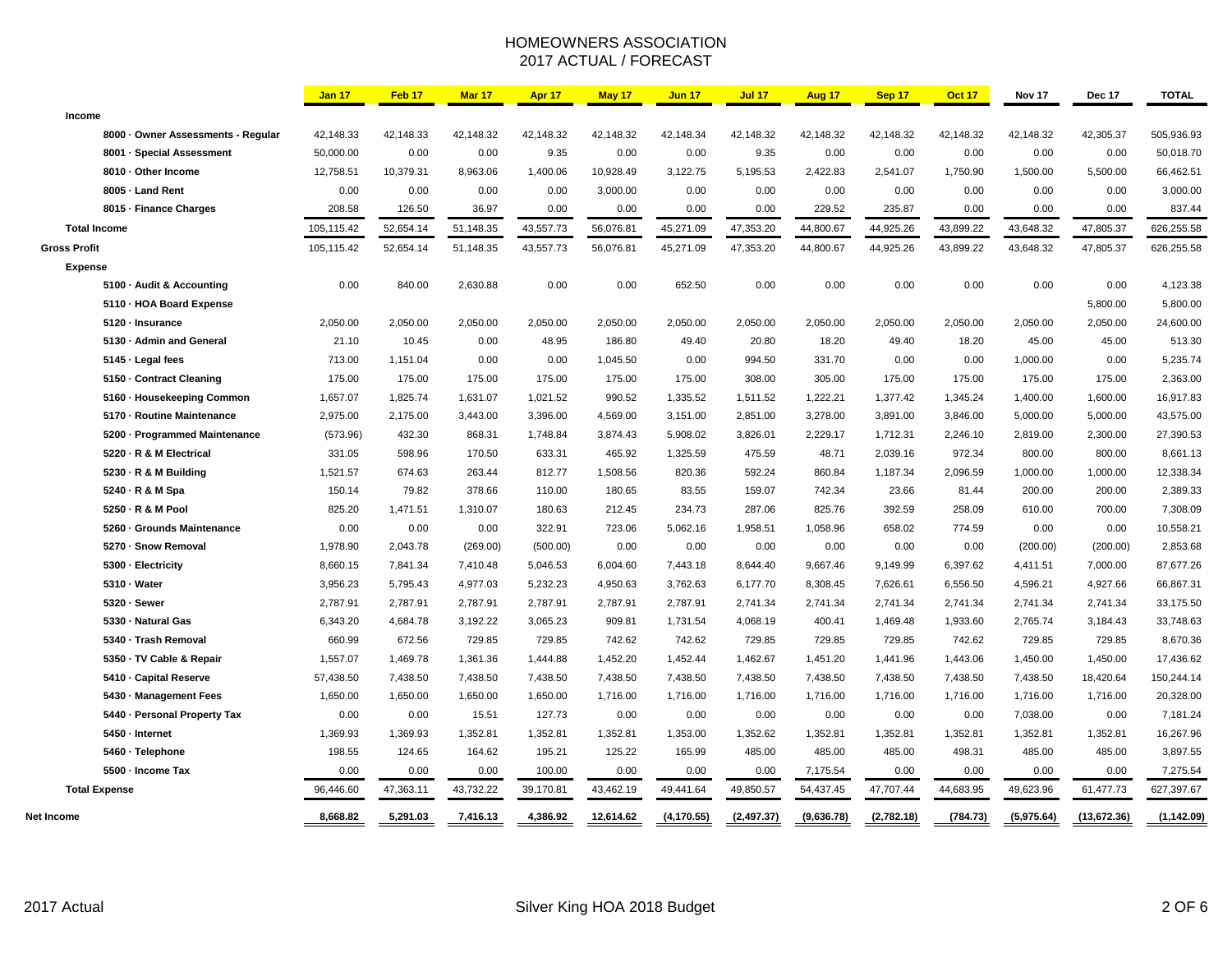## HOMEOWNERS ASSOCIATION 2017 ACTUAL / FORECAST

|                                    | <b>Jan 17</b> | Feb <sub>17</sub> | Mar 17    | Apr 17    | May 17    | <b>Jun 17</b> | <b>Jul 17</b> | Aug 17     | Sep 17     | <b>Oct 17</b> | Nov 17     | Dec 17      | <b>TOTAL</b> |
|------------------------------------|---------------|-------------------|-----------|-----------|-----------|---------------|---------------|------------|------------|---------------|------------|-------------|--------------|
| Income                             |               |                   |           |           |           |               |               |            |            |               |            |             |              |
| 8000 - Owner Assessments - Regular | 42,148.33     | 42,148.33         | 42,148.32 | 42,148.32 | 42,148.32 | 42,148.34     | 42,148.32     | 42,148.32  | 42,148.32  | 42,148.32     | 42,148.32  | 42,305.37   | 505,936.93   |
| 8001 - Special Assessment          | 50,000.00     | 0.00              | 0.00      | 9.35      | 0.00      | 0.00          | 9.35          | 0.00       | 0.00       | 0.00          | 0.00       | 0.00        | 50,018.70    |
| 8010 - Other Income                | 12,758.51     | 10,379.31         | 8,963.06  | 1,400.06  | 10,928.49 | 3,122.75      | 5,195.53      | 2,422.83   | 2,541.07   | 1,750.90      | 1,500.00   | 5,500.00    | 66,462.51    |
| 8005 - Land Rent                   | 0.00          | 0.00              | 0.00      | 0.00      | 3,000.00  | 0.00          | 0.00          | 0.00       | 0.00       | 0.00          | 0.00       | 0.00        | 3,000.00     |
| 8015 - Finance Charges             | 208.58        | 126.50            | 36.97     | 0.00      | 0.00      | 0.00          | 0.00          | 229.52     | 235.87     | 0.00          | 0.00       | 0.00        | 837.44       |
| <b>Total Income</b>                | 105,115.42    | 52,654.14         | 51,148.35 | 43,557.73 | 56,076.81 | 45,271.09     | 47,353.20     | 44,800.67  | 44,925.26  | 43,899.22     | 43,648.32  | 47,805.37   | 626,255.58   |
| <b>Gross Profit</b>                | 105,115.42    | 52,654.14         | 51,148.35 | 43,557.73 | 56,076.81 | 45,271.09     | 47,353.20     | 44,800.67  | 44,925.26  | 43,899.22     | 43,648.32  | 47,805.37   | 626,255.58   |
| <b>Expense</b>                     |               |                   |           |           |           |               |               |            |            |               |            |             |              |
| 5100 - Audit & Accounting          | 0.00          | 840.00            | 2,630.88  | 0.00      | 0.00      | 652.50        | 0.00          | 0.00       | 0.00       | 0.00          | 0.00       | 0.00        | 4,123.38     |
| 5110 - HOA Board Expense           |               |                   |           |           |           |               |               |            |            |               |            | 5,800.00    | 5,800.00     |
| 5120 - Insurance                   | 2,050.00      | 2,050.00          | 2,050.00  | 2,050.00  | 2,050.00  | 2,050.00      | 2,050.00      | 2,050.00   | 2,050.00   | 2,050.00      | 2,050.00   | 2,050.00    | 24,600.00    |
| 5130 - Admin and General           | 21.10         | 10.45             | 0.00      | 48.95     | 186.80    | 49.40         | 20.80         | 18.20      | 49.40      | 18.20         | 45.00      | 45.00       | 513.30       |
| 5145 - Legal fees                  | 713.00        | 1,151.04          | 0.00      | 0.00      | 1,045.50  | 0.00          | 994.50        | 331.70     | 0.00       | 0.00          | 1,000.00   | 0.00        | 5,235.74     |
| 5150 - Contract Cleaning           | 175.00        | 175.00            | 175.00    | 175.00    | 175.00    | 175.00        | 308.00        | 305.00     | 175.00     | 175.00        | 175.00     | 175.00      | 2,363.00     |
| 5160 - Housekeeping Common         | 1,657.07      | 1,825.74          | 1,631.07  | 1,021.52  | 990.52    | 1,335.52      | 1,511.52      | 1,222.21   | 1,377.42   | 1,345.24      | 1,400.00   | 1,600.00    | 16,917.83    |
| 5170 - Routine Maintenance         | 2,975.00      | 2,175.00          | 3,443.00  | 3,396.00  | 4,569.00  | 3,151.00      | 2,851.00      | 3,278.00   | 3,891.00   | 3,846.00      | 5,000.00   | 5,000.00    | 43,575.00    |
| 5200 - Programmed Maintenance      | (573.96)      | 432.30            | 868.31    | 1,748.84  | 3,874.43  | 5,908.02      | 3,826.01      | 2,229.17   | 1,712.31   | 2,246.10      | 2,819.00   | 2,300.00    | 27,390.53    |
| 5220 · R & M Electrical            | 331.05        | 598.96            | 170.50    | 633.31    | 465.92    | 1,325.59      | 475.59        | 48.71      | 2,039.16   | 972.34        | 800.00     | 800.00      | 8,661.13     |
| 5230 · R & M Building              | 1,521.57      | 674.63            | 263.44    | 812.77    | 1,508.56  | 820.36        | 592.24        | 860.84     | 1,187.34   | 2,096.59      | 1,000.00   | 1,000.00    | 12,338.34    |
| 5240 - R & M Spa                   | 150.14        | 79.82             | 378.66    | 110.00    | 180.65    | 83.55         | 159.07        | 742.34     | 23.66      | 81.44         | 200.00     | 200.00      | 2,389.33     |
| 5250 - R & M Pool                  | 825.20        | 1,471.51          | 1,310.07  | 180.63    | 212.45    | 234.73        | 287.06        | 825.76     | 392.59     | 258.09        | 610.00     | 700.00      | 7,308.09     |
| 5260 - Grounds Maintenance         | 0.00          | 0.00              | 0.00      | 322.91    | 723.06    | 5,062.16      | 1,958.51      | 1,058.96   | 658.02     | 774.59        | 0.00       | 0.00        | 10,558.21    |
| 5270 - Snow Removal                | 1,978.90      | 2,043.78          | (269.00)  | (500.00)  | 0.00      | 0.00          | 0.00          | 0.00       | 0.00       | 0.00          | (200.00)   | (200.00)    | 2,853.68     |
| 5300 - Electricity                 | 8,660.15      | 7,841.34          | 7,410.48  | 5,046.53  | 6,004.60  | 7,443.18      | 8,644.40      | 9,667.46   | 9,149.99   | 6,397.62      | 4,411.51   | 7,000.00    | 87,677.26    |
| 5310 - Water                       | 3,956.23      | 5,795.43          | 4,977.03  | 5,232.23  | 4,950.63  | 3,762.63      | 6,177.70      | 8,308.45   | 7,626.61   | 6,556.50      | 4,596.21   | 4,927.66    | 66,867.31    |
| 5320 - Sewer                       | 2,787.91      | 2,787.91          | 2,787.91  | 2,787.91  | 2,787.91  | 2,787.91      | 2,741.34      | 2,741.34   | 2,741.34   | 2,741.34      | 2,741.34   | 2,741.34    | 33,175.50    |
| 5330 - Natural Gas                 | 6,343.20      | 4,684.78          | 3,192.22  | 3,065.23  | 909.81    | 1,731.54      | 4,068.19      | 400.41     | 1,469.48   | 1,933.60      | 2,765.74   | 3,184.43    | 33,748.63    |
| 5340 - Trash Removal               | 660.99        | 672.56            | 729.85    | 729.85    | 742.62    | 742.62        | 729.85        | 729.85     | 729.85     | 742.62        | 729.85     | 729.85      | 8,670.36     |
| 5350 - TV Cable & Repair           | 1,557.07      | 1,469.78          | 1,361.36  | 1,444.88  | 1,452.20  | 1,452.44      | 1,462.67      | 1,451.20   | 1,441.96   | 1,443.06      | 1,450.00   | 1,450.00    | 17,436.62    |
| 5410 - Capital Reserve             | 57,438.50     | 7,438.50          | 7,438.50  | 7,438.50  | 7,438.50  | 7,438.50      | 7,438.50      | 7,438.50   | 7,438.50   | 7,438.50      | 7,438.50   | 18,420.64   | 150,244.14   |
| 5430 - Management Fees             | 1,650.00      | 1,650.00          | 1,650.00  | 1,650.00  | 1,716.00  | 1,716.00      | 1,716.00      | 1,716.00   | 1,716.00   | 1,716.00      | 1,716.00   | 1,716.00    | 20,328.00    |
| 5440 - Personal Property Tax       | 0.00          | 0.00              | 15.51     | 127.73    | 0.00      | 0.00          | 0.00          | 0.00       | 0.00       | 0.00          | 7,038.00   | 0.00        | 7,181.24     |
| 5450 - Internet                    | 1,369.93      | 1,369.93          | 1,352.81  | 1,352.81  | 1,352.81  | 1,353.00      | 1,352.62      | 1,352.81   | 1,352.81   | 1,352.81      | 1,352.81   | 1,352.81    | 16,267.96    |
| 5460 · Telephone                   | 198.55        | 124.65            | 164.62    | 195.21    | 125.22    | 165.99        | 485.00        | 485.00     | 485.00     | 498.31        | 485.00     | 485.00      | 3,897.55     |
| 5500 - Income Tax                  | 0.00          | 0.00              | 0.00      | 100.00    | 0.00      | 0.00          | 0.00          | 7,175.54   | 0.00       | 0.00          | 0.00       | 0.00        | 7,275.54     |
| <b>Total Expense</b>               | 96,446.60     | 47,363.11         | 43,732.22 | 39,170.81 | 43,462.19 | 49,441.64     | 49,850.57     | 54,437.45  | 47,707.44  | 44,683.95     | 49,623.96  | 61,477.73   | 627,397.67   |
| Net Income                         | 8,668.82      | 5,291.03          | 7,416.13  | 4,386.92  | 12,614.62 | (4, 170.55)   | (2, 497.37)   | (9,636.78) | (2,782.18) | (784.73)      | (5,975.64) | (13,672.36) | (1, 142.09)  |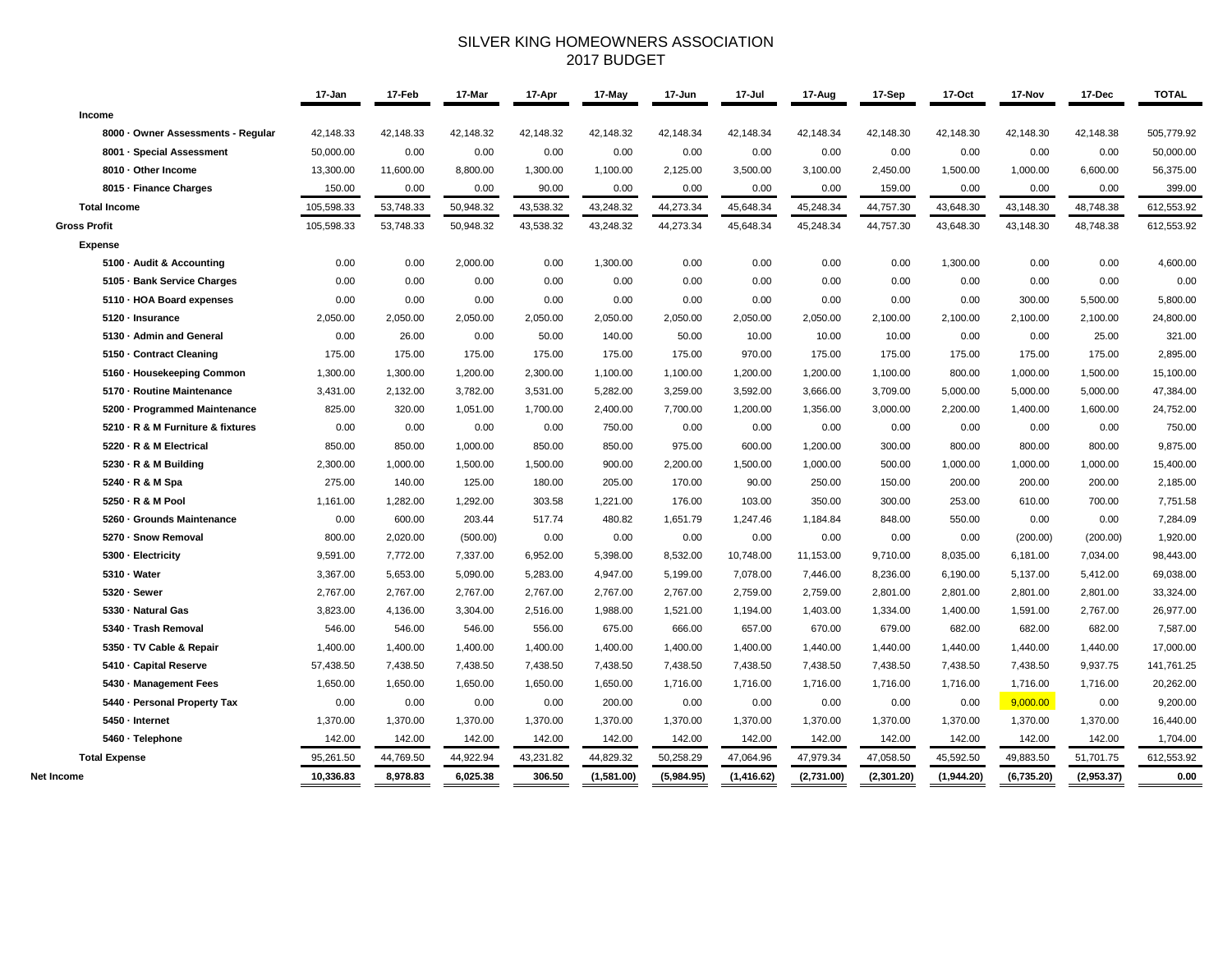### SILVER KING HOMEOWNERS ASSOCIATION 2017 BUDGET

|                                    | 17-Jan     | 17-Feb    | 17-Mar    | 17-Apr    | 17-May     | 17-Jun     | 17-Jul     | 17-Aug     | 17-Sep     | 17-Oct     | 17-Nov     | 17-Dec     | <b>TOTAL</b> |
|------------------------------------|------------|-----------|-----------|-----------|------------|------------|------------|------------|------------|------------|------------|------------|--------------|
| Income                             |            |           |           |           |            |            |            |            |            |            |            |            |              |
| 8000 · Owner Assessments - Regular | 42,148.33  | 42,148.33 | 42,148.32 | 42,148.32 | 42,148.32  | 42,148.34  | 42,148.34  | 42,148.34  | 42,148.30  | 42,148.30  | 42,148.30  | 42,148.38  | 505,779.92   |
| 8001 · Special Assessment          | 50,000.00  | 0.00      | 0.00      | 0.00      | 0.00       | 0.00       | 0.00       | 0.00       | 0.00       | 0.00       | 0.00       | 0.00       | 50,000.00    |
| 8010 · Other Income                | 13,300.00  | 11,600.00 | 8,800.00  | 1,300.00  | 1,100.00   | 2,125.00   | 3,500.00   | 3,100.00   | 2,450.00   | 1,500.00   | 1,000.00   | 6,600.00   | 56,375.00    |
| 8015 - Finance Charges             | 150.00     | 0.00      | 0.00      | 90.00     | 0.00       | 0.00       | 0.00       | 0.00       | 159.00     | 0.00       | 0.00       | 0.00       | 399.00       |
| <b>Total Income</b>                | 105,598.33 | 53,748.33 | 50,948.32 | 43,538.32 | 43,248.32  | 44,273.34  | 45,648.34  | 45,248.34  | 44,757.30  | 43,648.30  | 43,148.30  | 48,748.38  | 612,553.92   |
| <b>Gross Profit</b>                | 105,598.33 | 53,748.33 | 50,948.32 | 43,538.32 | 43,248.32  | 44,273.34  | 45,648.34  | 45,248.34  | 44,757.30  | 43,648.30  | 43,148.30  | 48,748.38  | 612,553.92   |
| <b>Expense</b>                     |            |           |           |           |            |            |            |            |            |            |            |            |              |
| 5100 - Audit & Accounting          | 0.00       | 0.00      | 2,000.00  | 0.00      | 1,300.00   | 0.00       | 0.00       | 0.00       | 0.00       | 1,300.00   | 0.00       | 0.00       | 4,600.00     |
| 5105 · Bank Service Charges        | 0.00       | 0.00      | 0.00      | 0.00      | 0.00       | 0.00       | 0.00       | 0.00       | 0.00       | 0.00       | 0.00       | 0.00       | 0.00         |
| 5110 - HOA Board expenses          | 0.00       | 0.00      | 0.00      | 0.00      | 0.00       | 0.00       | 0.00       | 0.00       | 0.00       | 0.00       | 300.00     | 5,500.00   | 5,800.00     |
| 5120 · Insurance                   | 2,050.00   | 2,050.00  | 2,050.00  | 2,050.00  | 2,050.00   | 2,050.00   | 2,050.00   | 2,050.00   | 2,100.00   | 2,100.00   | 2,100.00   | 2,100.00   | 24,800.00    |
| 5130 · Admin and General           | 0.00       | 26.00     | 0.00      | 50.00     | 140.00     | 50.00      | 10.00      | 10.00      | 10.00      | 0.00       | 0.00       | 25.00      | 321.00       |
| 5150 - Contract Cleaning           | 175.00     | 175.00    | 175.00    | 175.00    | 175.00     | 175.00     | 970.00     | 175.00     | 175.00     | 175.00     | 175.00     | 175.00     | 2,895.00     |
| 5160 · Housekeeping Common         | 1,300.00   | 1,300.00  | 1,200.00  | 2,300.00  | 1,100.00   | 1,100.00   | 1,200.00   | 1,200.00   | 1,100.00   | 800.00     | 1,000.00   | 1,500.00   | 15,100.00    |
| 5170 - Routine Maintenance         | 3,431.00   | 2,132.00  | 3,782.00  | 3,531.00  | 5,282.00   | 3,259.00   | 3,592.00   | 3,666.00   | 3,709.00   | 5,000.00   | 5,000.00   | 5,000.00   | 47,384.00    |
| 5200 - Programmed Maintenance      | 825.00     | 320.00    | 1,051.00  | 1,700.00  | 2,400.00   | 7,700.00   | 1,200.00   | 1,356.00   | 3,000.00   | 2,200.00   | 1,400.00   | 1,600.00   | 24,752.00    |
| 5210 · R & M Furniture & fixtures  | 0.00       | 0.00      | 0.00      | 0.00      | 750.00     | 0.00       | 0.00       | 0.00       | 0.00       | 0.00       | 0.00       | 0.00       | 750.00       |
| 5220 - R & M Electrical            | 850.00     | 850.00    | 1,000.00  | 850.00    | 850.00     | 975.00     | 600.00     | 1,200.00   | 300.00     | 800.00     | 800.00     | 800.00     | 9,875.00     |
| 5230 · R & M Building              | 2,300.00   | 1,000.00  | 1,500.00  | 1,500.00  | 900.00     | 2,200.00   | 1,500.00   | 1,000.00   | 500.00     | 1,000.00   | 1,000.00   | 1,000.00   | 15,400.00    |
| 5240 · R & M Spa                   | 275.00     | 140.00    | 125.00    | 180.00    | 205.00     | 170.00     | 90.00      | 250.00     | 150.00     | 200.00     | 200.00     | 200.00     | 2,185.00     |
| 5250 · R & M Pool                  | 1,161.00   | 1,282.00  | 1,292.00  | 303.58    | 1,221.00   | 176.00     | 103.00     | 350.00     | 300.00     | 253.00     | 610.00     | 700.00     | 7,751.58     |
| 5260 · Grounds Maintenance         | 0.00       | 600.00    | 203.44    | 517.74    | 480.82     | 1,651.79   | 1,247.46   | 1,184.84   | 848.00     | 550.00     | 0.00       | 0.00       | 7,284.09     |
| 5270 · Snow Removal                | 800.00     | 2,020.00  | (500.00)  | 0.00      | 0.00       | 0.00       | 0.00       | 0.00       | 0.00       | 0.00       | (200.00)   | (200.00)   | 1,920.00     |
| 5300 - Electricity                 | 9,591.00   | 7,772.00  | 7,337.00  | 6,952.00  | 5,398.00   | 8,532.00   | 10,748.00  | 11,153.00  | 9,710.00   | 8,035.00   | 6,181.00   | 7,034.00   | 98,443.00    |
| 5310 - Water                       | 3,367.00   | 5,653.00  | 5,090.00  | 5,283.00  | 4,947.00   | 5,199.00   | 7,078.00   | 7,446.00   | 8,236.00   | 6,190.00   | 5,137.00   | 5,412.00   | 69,038.00    |
| 5320 - Sewer                       | 2,767.00   | 2,767.00  | 2,767.00  | 2,767.00  | 2,767.00   | 2,767.00   | 2,759.00   | 2,759.00   | 2,801.00   | 2,801.00   | 2,801.00   | 2,801.00   | 33,324.00    |
| 5330 - Natural Gas                 | 3,823.00   | 4,136.00  | 3,304.00  | 2,516.00  | 1,988.00   | 1,521.00   | 1,194.00   | 1,403.00   | 1,334.00   | 1,400.00   | 1,591.00   | 2,767.00   | 26,977.00    |
| 5340 - Trash Removal               | 546.00     | 546.00    | 546.00    | 556.00    | 675.00     | 666.00     | 657.00     | 670.00     | 679.00     | 682.00     | 682.00     | 682.00     | 7,587.00     |
| 5350 - TV Cable & Repair           | 1,400.00   | 1,400.00  | 1,400.00  | 1,400.00  | 1,400.00   | 1,400.00   | 1,400.00   | 1,440.00   | 1,440.00   | 1,440.00   | 1,440.00   | 1,440.00   | 17,000.00    |
| 5410 - Capital Reserve             | 57,438.50  | 7,438.50  | 7,438.50  | 7,438.50  | 7,438.50   | 7,438.50   | 7,438.50   | 7,438.50   | 7,438.50   | 7,438.50   | 7,438.50   | 9,937.75   | 141,761.25   |
| 5430 · Management Fees             | 1,650.00   | 1,650.00  | 1,650.00  | 1,650.00  | 1,650.00   | 1,716.00   | 1,716.00   | 1,716.00   | 1,716.00   | 1,716.00   | 1,716.00   | 1,716.00   | 20,262.00    |
| 5440 - Personal Property Tax       | 0.00       | 0.00      | 0.00      | 0.00      | 200.00     | 0.00       | 0.00       | 0.00       | 0.00       | 0.00       | 9,000.00   | 0.00       | 9,200.00     |
| 5450 - Internet                    | 1,370.00   | 1,370.00  | 1,370.00  | 1,370.00  | 1,370.00   | 1,370.00   | 1,370.00   | 1,370.00   | 1,370.00   | 1,370.00   | 1,370.00   | 1,370.00   | 16,440.00    |
| 5460 · Telephone                   | 142.00     | 142.00    | 142.00    | 142.00    | 142.00     | 142.00     | 142.00     | 142.00     | 142.00     | 142.00     | 142.00     | 142.00     | 1,704.00     |
| <b>Total Expense</b>               | 95,261.50  | 44,769.50 | 44,922.94 | 43,231.82 | 44,829.32  | 50,258.29  | 47,064.96  | 47,979.34  | 47,058.50  | 45,592.50  | 49,883.50  | 51,701.75  | 612,553.92   |
| Net Income                         | 10,336.83  | 8,978.83  | 6,025.38  | 306.50    | (1,581.00) | (5,984.95) | (1,416.62) | (2,731.00) | (2,301.20) | (1,944.20) | (6,735.20) | (2,953.37) | 0.00         |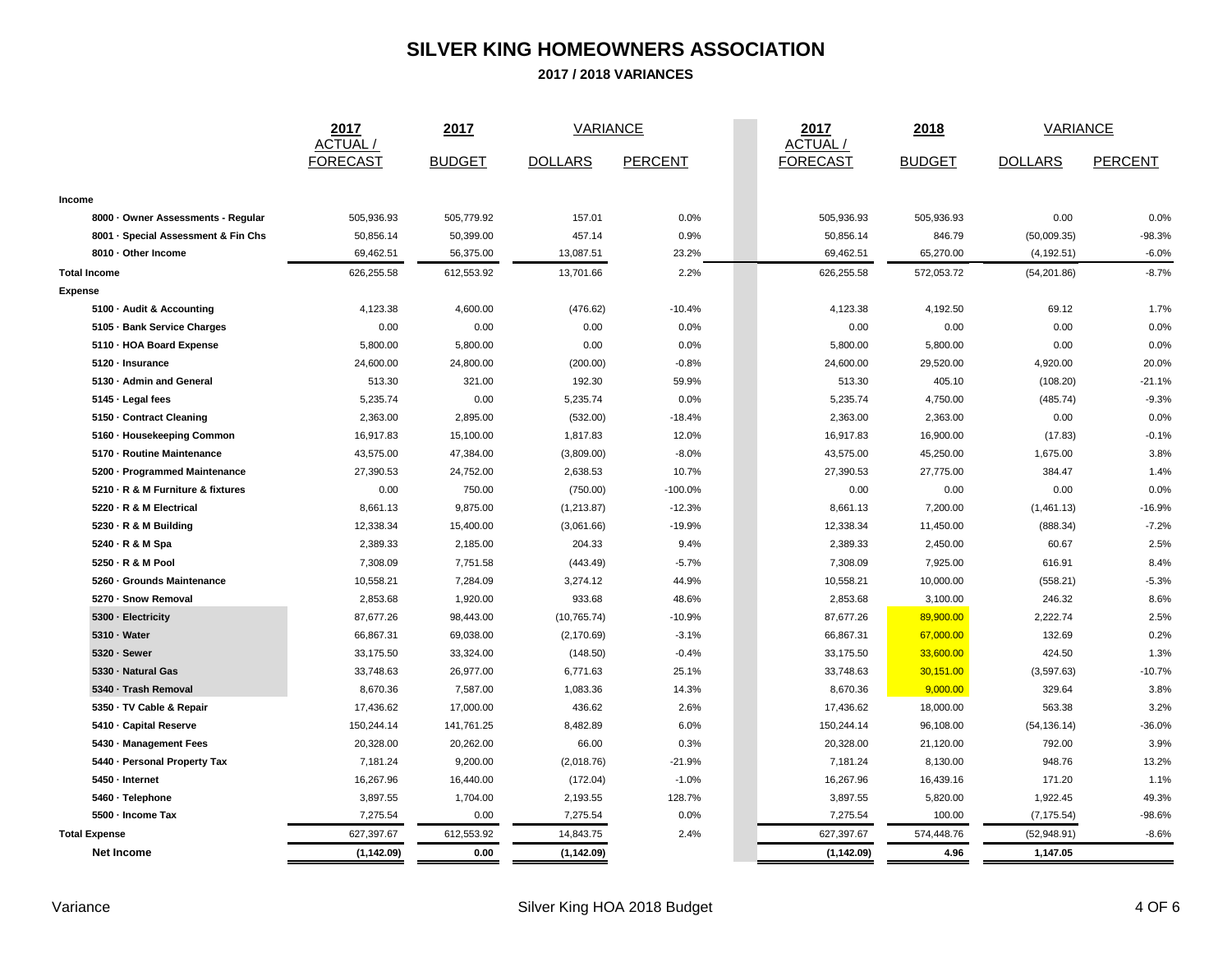# **SILVER KING HOMEOWNERS ASSOCIATION**

**2017 / 2018 VARIANCES**

 $\sim$ 

|                                     | 2017<br><b>ACTUAL</b> | 2017          | <b>VARIANCE</b> |                | 2017<br>ACTUAL / | 2018          | <b>VARIANCE</b> |                |
|-------------------------------------|-----------------------|---------------|-----------------|----------------|------------------|---------------|-----------------|----------------|
|                                     | <b>FORECAST</b>       | <b>BUDGET</b> | <b>DOLLARS</b>  | <b>PERCENT</b> | <b>FORECAST</b>  | <b>BUDGET</b> | <b>DOLLARS</b>  | <b>PERCENT</b> |
|                                     |                       |               |                 |                |                  |               |                 |                |
| Income                              |                       |               |                 |                |                  |               |                 |                |
| 8000 · Owner Assessments - Regular  | 505,936.93            | 505,779.92    | 157.01          | 0.0%           | 505,936.93       | 505,936.93    | 0.00            | 0.0%           |
| 8001 · Special Assessment & Fin Chs | 50,856.14             | 50,399.00     | 457.14          | 0.9%           | 50,856.14        | 846.79        | (50,009.35)     | $-98.3%$       |
| 8010 · Other Income                 | 69,462.51             | 56,375.00     | 13,087.51       | 23.2%          | 69,462.51        | 65,270.00     | (4, 192.51)     | $-6.0%$        |
| <b>Total Income</b>                 | 626,255.58            | 612,553.92    | 13,701.66       | 2.2%           | 626,255.58       | 572,053.72    | (54, 201.86)    | $-8.7%$        |
| <b>Expense</b>                      |                       |               |                 |                |                  |               |                 |                |
| 5100 · Audit & Accounting           | 4,123.38              | 4,600.00      | (476.62)        | $-10.4%$       | 4,123.38         | 4,192.50      | 69.12           | 1.7%           |
| 5105 · Bank Service Charges         | 0.00                  | 0.00          | 0.00            | 0.0%           | 0.00             | 0.00          | 0.00            | 0.0%           |
| 5110 - HOA Board Expense            | 5,800.00              | 5,800.00      | 0.00            | 0.0%           | 5,800.00         | 5,800.00      | 0.00            | 0.0%           |
| 5120 - Insurance                    | 24,600.00             | 24,800.00     | (200.00)        | $-0.8%$        | 24,600.00        | 29,520.00     | 4,920.00        | 20.0%          |
| 5130 · Admin and General            | 513.30                | 321.00        | 192.30          | 59.9%          | 513.30           | 405.10        | (108.20)        | $-21.1%$       |
| 5145 · Legal fees                   | 5,235.74              | 0.00          | 5,235.74        | 0.0%           | 5,235.74         | 4,750.00      | (485.74)        | $-9.3%$        |
| 5150 - Contract Cleaning            | 2,363.00              | 2,895.00      | (532.00)        | $-18.4%$       | 2,363.00         | 2,363.00      | 0.00            | 0.0%           |
| 5160 · Housekeeping Common          | 16,917.83             | 15,100.00     | 1,817.83        | 12.0%          | 16,917.83        | 16,900.00     | (17.83)         | $-0.1%$        |
| 5170 - Routine Maintenance          | 43,575.00             | 47,384.00     | (3,809.00)      | $-8.0%$        | 43,575.00        | 45,250.00     | 1,675.00        | 3.8%           |
| 5200 - Programmed Maintenance       | 27,390.53             | 24,752.00     | 2,638.53        | 10.7%          | 27,390.53        | 27,775.00     | 384.47          | 1.4%           |
| 5210 · R & M Furniture & fixtures   | 0.00                  | 750.00        | (750.00)        | $-100.0%$      | 0.00             | 0.00          | 0.00            | 0.0%           |
| 5220 · R & M Electrical             | 8,661.13              | 9,875.00      | (1, 213.87)     | $-12.3%$       | 8,661.13         | 7,200.00      | (1,461.13)      | $-16.9%$       |
| 5230 · R & M Building               | 12,338.34             | 15,400.00     | (3,061.66)      | $-19.9%$       | 12,338.34        | 11,450.00     | (888.34)        | $-7.2%$        |
| 5240 · R & M Spa                    | 2,389.33              | 2,185.00      | 204.33          | 9.4%           | 2,389.33         | 2,450.00      | 60.67           | 2.5%           |
| 5250 - R & M Pool                   | 7,308.09              | 7,751.58      | (443.49)        | $-5.7%$        | 7,308.09         | 7,925.00      | 616.91          | 8.4%           |
| 5260 · Grounds Maintenance          | 10,558.21             | 7,284.09      | 3,274.12        | 44.9%          | 10,558.21        | 10,000.00     | (558.21)        | $-5.3%$        |
| 5270 - Snow Removal                 | 2,853.68              | 1,920.00      | 933.68          | 48.6%          | 2,853.68         | 3,100.00      | 246.32          | 8.6%           |
| 5300 - Electricity                  | 87,677.26             | 98,443.00     | (10, 765.74)    | $-10.9%$       | 87,677.26        | 89,900.00     | 2,222.74        | 2.5%           |
| 5310 · Water                        | 66,867.31             | 69,038.00     | (2, 170.69)     | $-3.1%$        | 66,867.31        | 67,000.00     | 132.69          | 0.2%           |
| 5320 - Sewer                        | 33,175.50             | 33,324.00     | (148.50)        | $-0.4%$        | 33,175.50        | 33,600.00     | 424.50          | 1.3%           |
| 5330 - Natural Gas                  | 33,748.63             | 26,977.00     | 6,771.63        | 25.1%          | 33,748.63        | 30,151.00     | (3,597.63)      | $-10.7%$       |
| 5340 · Trash Removal                | 8,670.36              | 7,587.00      | 1,083.36        | 14.3%          | 8,670.36         | 9,000.00      | 329.64          | 3.8%           |
| 5350 · TV Cable & Repair            | 17,436.62             | 17,000.00     | 436.62          | 2.6%           | 17,436.62        | 18,000.00     | 563.38          | 3.2%           |
| 5410 · Capital Reserve              | 150,244.14            | 141,761.25    | 8,482.89        | 6.0%           | 150,244.14       | 96,108.00     | (54, 136.14)    | $-36.0%$       |
| 5430 · Management Fees              | 20,328.00             | 20,262.00     | 66.00           | 0.3%           | 20,328.00        | 21,120.00     | 792.00          | 3.9%           |
| 5440 - Personal Property Tax        | 7,181.24              | 9,200.00      | (2,018.76)      | $-21.9%$       | 7,181.24         | 8,130.00      | 948.76          | 13.2%          |
| 5450 - Internet                     | 16,267.96             | 16,440.00     | (172.04)        | $-1.0%$        | 16,267.96        | 16,439.16     | 171.20          | 1.1%           |
| 5460 · Telephone                    | 3,897.55              | 1,704.00      | 2,193.55        | 128.7%         | 3,897.55         | 5,820.00      | 1,922.45        | 49.3%          |
| 5500 - Income Tax                   | 7,275.54              | 0.00          | 7,275.54        | 0.0%           | 7,275.54         | 100.00        | (7, 175.54)     | $-98.6%$       |
| <b>Total Expense</b>                | 627,397.67            | 612,553.92    | 14,843.75       | 2.4%           | 627,397.67       | 574,448.76    | (52,948.91)     | $-8.6%$        |
| Net Income                          | (1, 142.09)           | 0.00          | (1, 142.09)     |                | (1, 142.09)      | 4.96          | 1,147.05        |                |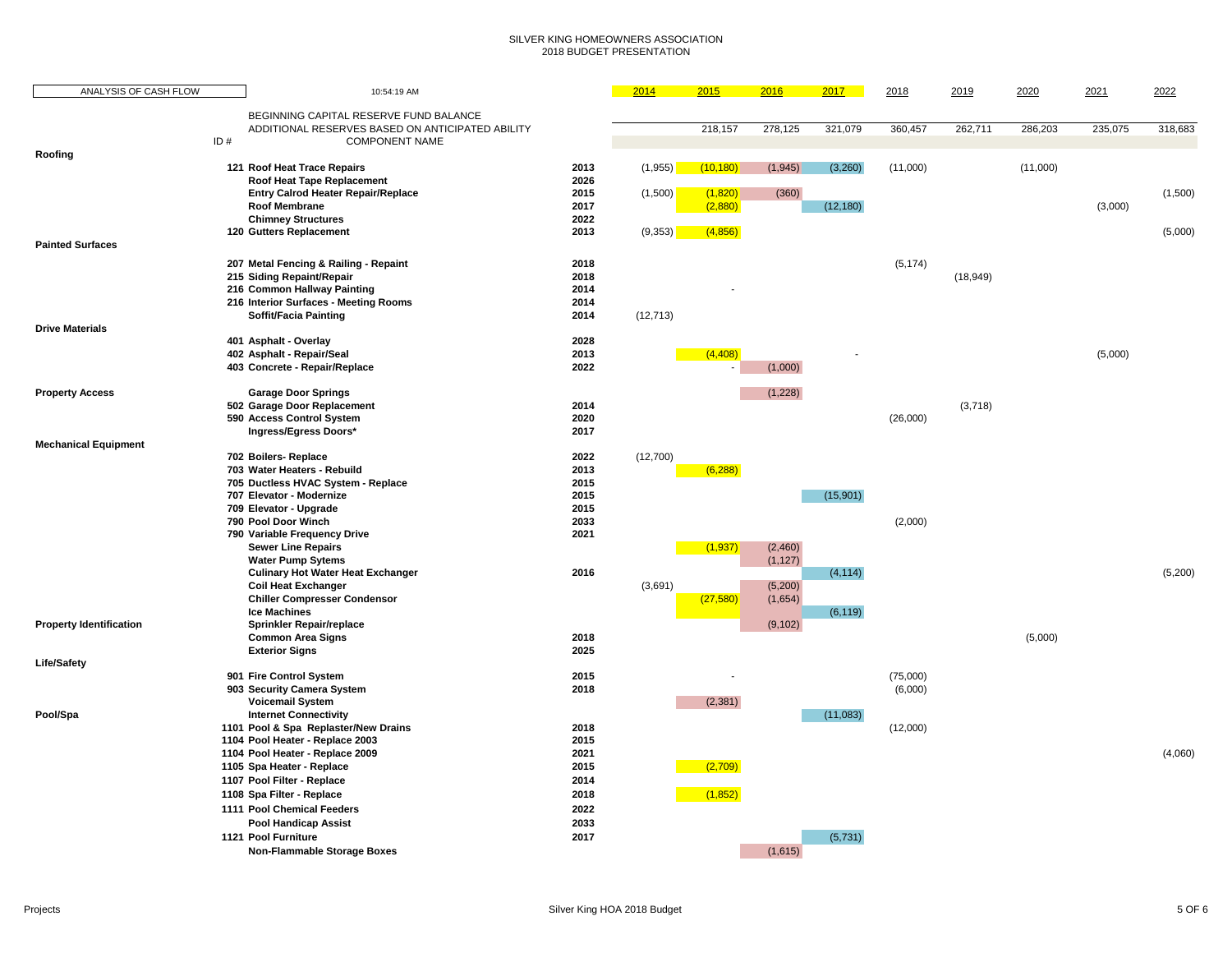### SILVER KING HOMEOWNERS ASSOCIATION 2018 BUDGET PRESENTATION

| ANALYSIS OF CASH FLOW          |     | 10:54:19 AM                                                             |              | 2014      | 2015      | 2016     | 2017      | 2018     | 2019      | 2020     | 2021    | 2022    |
|--------------------------------|-----|-------------------------------------------------------------------------|--------------|-----------|-----------|----------|-----------|----------|-----------|----------|---------|---------|
|                                |     | BEGINNING CAPITAL RESERVE FUND BALANCE                                  |              |           |           |          |           |          |           |          |         |         |
|                                |     | ADDITIONAL RESERVES BASED ON ANTICIPATED ABILITY                        |              |           | 218,157   | 278,125  | 321,079   | 360,457  | 262,711   | 286,203  | 235,075 | 318,683 |
|                                | ID# | <b>COMPONENT NAME</b>                                                   |              |           |           |          |           |          |           |          |         |         |
| Roofing                        |     |                                                                         |              |           |           |          |           |          |           |          |         |         |
|                                |     | 121 Roof Heat Trace Repairs                                             | 2013<br>2026 | (1,955)   | (10, 180) | (1, 945) | (3,260)   | (11,000) |           | (11,000) |         |         |
|                                |     | Roof Heat Tape Replacement<br><b>Entry Calrod Heater Repair/Replace</b> | 2015         | (1,500)   | (1,820)   | (360)    |           |          |           |          |         | (1,500) |
|                                |     | Roof Membrane                                                           | 2017         |           | (2,880)   |          | (12, 180) |          |           |          | (3,000) |         |
|                                |     | <b>Chimney Structures</b>                                               | 2022         |           |           |          |           |          |           |          |         |         |
|                                |     | 120 Gutters Replacement                                                 | 2013         | (9,353)   | (4,856)   |          |           |          |           |          |         | (5,000) |
| <b>Painted Surfaces</b>        |     |                                                                         |              |           |           |          |           |          |           |          |         |         |
|                                |     | 207 Metal Fencing & Railing - Repaint                                   | 2018         |           |           |          |           | (5, 174) |           |          |         |         |
|                                |     | 215 Siding Repaint/Repair                                               | 2018         |           |           |          |           |          | (18, 949) |          |         |         |
|                                |     | 216 Common Hallway Painting                                             | 2014         |           |           |          |           |          |           |          |         |         |
|                                |     | 216 Interior Surfaces - Meeting Rooms                                   | 2014         |           |           |          |           |          |           |          |         |         |
|                                |     | <b>Soffit/Facia Painting</b>                                            | 2014         | (12, 713) |           |          |           |          |           |          |         |         |
| <b>Drive Materials</b>         |     |                                                                         |              |           |           |          |           |          |           |          |         |         |
|                                |     | 401 Asphalt - Overlay                                                   | 2028         |           |           |          |           |          |           |          |         |         |
|                                |     | 402 Asphalt - Repair/Seal<br>403 Concrete - Repair/Replace              | 2013<br>2022 |           | (4, 408)  |          |           |          |           |          | (5,000) |         |
|                                |     |                                                                         |              |           |           | (1,000)  |           |          |           |          |         |         |
| <b>Property Access</b>         |     | <b>Garage Door Springs</b>                                              |              |           |           | (1,228)  |           |          |           |          |         |         |
|                                |     | 502 Garage Door Replacement                                             | 2014         |           |           |          |           |          | (3,718)   |          |         |         |
|                                |     | 590 Access Control System                                               | 2020         |           |           |          |           | (26,000) |           |          |         |         |
|                                |     | Ingress/Egress Doors*                                                   | 2017         |           |           |          |           |          |           |          |         |         |
| <b>Mechanical Equipment</b>    |     |                                                                         |              |           |           |          |           |          |           |          |         |         |
|                                |     | 702 Boilers-Replace                                                     | 2022         | (12,700)  |           |          |           |          |           |          |         |         |
|                                |     | 703 Water Heaters - Rebuild<br>705 Ductless HVAC System - Replace       | 2013<br>2015 |           | (6, 288)  |          |           |          |           |          |         |         |
|                                |     | 707 Elevator - Modernize                                                | 2015         |           |           |          | (15,901)  |          |           |          |         |         |
|                                |     | 709 Elevator - Upgrade                                                  | 2015         |           |           |          |           |          |           |          |         |         |
|                                |     | 790 Pool Door Winch                                                     | 2033         |           |           |          |           | (2,000)  |           |          |         |         |
|                                |     | 790 Variable Frequency Drive                                            | 2021         |           |           |          |           |          |           |          |         |         |
|                                |     | <b>Sewer Line Repairs</b>                                               |              |           | (1, 937)  | (2,460)  |           |          |           |          |         |         |
|                                |     | <b>Water Pump Sytems</b>                                                |              |           |           | (1, 127) |           |          |           |          |         |         |
|                                |     | <b>Culinary Hot Water Heat Exchanger</b>                                | 2016         |           |           |          | (4, 114)  |          |           |          |         | (5,200) |
|                                |     | <b>Coil Heat Exchanger</b>                                              |              | (3,691)   |           | (5,200)  |           |          |           |          |         |         |
|                                |     | <b>Chiller Compresser Condensor</b><br><b>Ice Machines</b>              |              |           | (27, 580) | (1,654)  | (6, 119)  |          |           |          |         |         |
| <b>Property Identification</b> |     | <b>Sprinkler Repair/replace</b>                                         |              |           |           | (9, 102) |           |          |           |          |         |         |
|                                |     | <b>Common Area Signs</b>                                                | 2018         |           |           |          |           |          |           | (5,000)  |         |         |
|                                |     | <b>Exterior Signs</b>                                                   | 2025         |           |           |          |           |          |           |          |         |         |
| <b>Life/Safety</b>             |     |                                                                         |              |           |           |          |           |          |           |          |         |         |
|                                |     | 901 Fire Control System                                                 | 2015         |           |           |          |           | (75,000) |           |          |         |         |
|                                |     | 903 Security Camera System                                              | 2018         |           |           |          |           | (6,000)  |           |          |         |         |
|                                |     | <b>Voicemail System</b><br><b>Internet Connectivity</b>                 |              |           | (2, 381)  |          | (11,083)  |          |           |          |         |         |
| Pool/Spa                       |     | 1101 Pool & Spa Replaster/New Drains                                    | 2018         |           |           |          |           | (12,000) |           |          |         |         |
|                                |     | 1104 Pool Heater - Replace 2003                                         | 2015         |           |           |          |           |          |           |          |         |         |
|                                |     | 1104 Pool Heater - Replace 2009                                         | 2021         |           |           |          |           |          |           |          |         | (4,060) |
|                                |     | 1105 Spa Heater - Replace                                               | 2015         |           | (2,709)   |          |           |          |           |          |         |         |
|                                |     | 1107 Pool Filter - Replace                                              | 2014         |           |           |          |           |          |           |          |         |         |
|                                |     | 1108 Spa Filter - Replace                                               | 2018         |           | (1,852)   |          |           |          |           |          |         |         |
|                                |     | 1111 Pool Chemical Feeders                                              | 2022         |           |           |          |           |          |           |          |         |         |
|                                |     | <b>Pool Handicap Assist</b>                                             | 2033         |           |           |          |           |          |           |          |         |         |
|                                |     | 1121 Pool Furniture                                                     | 2017         |           |           |          | (5,731)   |          |           |          |         |         |
|                                |     | <b>Non-Flammable Storage Boxes</b>                                      |              |           |           | (1,615)  |           |          |           |          |         |         |